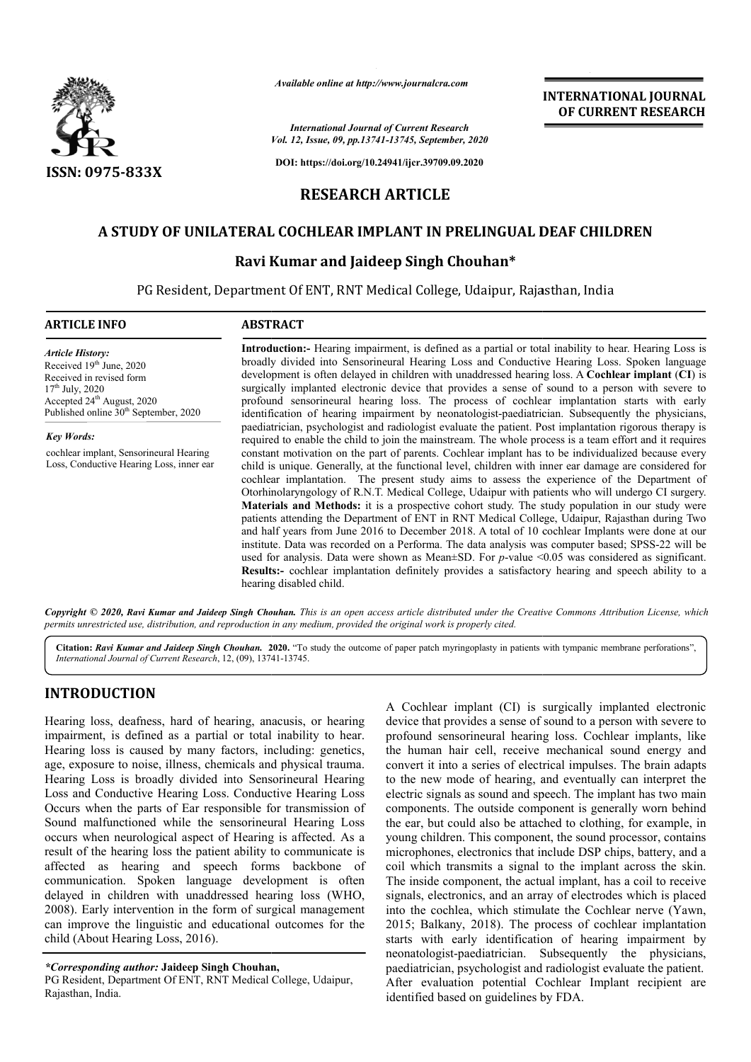

*Available online at http://www.journalcra.com*

*Vol. 12, Issue, 09, pp.1 pp.13741-13745, September, 2020 International Journal of Current Research*

**DOI: https://doi.org/10.24941/ijcr.39709.09.2020**

# **RESEARCH ARTICLE**

# **A STUDY OF UNILATERAL COCHLEAR IMPLANT IN PRELINGUAL DEAF CHILDREN DEAF CHILDREN**

## **Ravi Kumar and Jaideep Singh Chouhan\***

PG Resident, Department Of ENT, RNT Medical College, Udaipur, Rajasthan, India PG

#### **ARTICLE INFO ABSTRACT**

*Article History: Article History:* Received 19<sup>th</sup> June, 2020 Received in revised form Received in revised form  $17<sup>th</sup>$  July, 2020 Accepted 24<sup>th</sup> August, 2020 Published online 30<sup>th</sup> September, 2020

*Key Words:* cochlear implant, Sensorineural Hearing Loss, Conductive Hearing Loss, inner ear

**Introduction: Introduction:-** Hearing impairment, is defined as a partial or total inability to hear. hear. Hearing Loss is broadly divided into Sensorineural Hearing Loss and Conductive Hearing Loss. Spoken language development is often delayed in children with unaddressed hearing loss. A **Cochlear implant (CI)** is surgically implanted electronic device that provides a sense of sound to a person with severe to profound sensorineural hearing loss. The process of cochlear implantation starts with early identification of hearing impairment by neonatologist-paediatrician. Subsequently the physicians, paediatrician, psychologist and radiologist evaluate the patient. Post implantation rigorous thera required to enable the child to join the mainstream. The whole process is a team effort and it requires required to enable the child to join the mainstream. The whole process is a team effort and it requires constant motivation on the part of parents. Cochlear implant has to be individualized because every child is unique. Generally, at the functional level, children with inner ear damage are considered for cochlear implantation. The present study aims to assess the experience of the Department of Otorhinolaryngology of R.N.T. Medical College, Udaipur with patients who will undergo CI surgery. **Materia Materials and Methods:** it is a prospective cohort study. The study population in our study were patients attending the Department of ENT in RNT Medical College, Udaipur, Rajasthan during and half years from June 2016 to December 2018. A total of 10 cochlear Implants were done at our and half years from June 2016 to December 2018. A total of 10 cochlear Implants were done at our institute. Data was recorded on a Performa. The data analysis was computer based; SPSS-22 will be used for analysis. Data were shown as Mean±SD. For *p*-value <0.05 was considered as significant. used for analysis. Data were shown as Mean±SD. For *p*-value <0.05 was considered as significant.<br>**Results:-** cochlear implantation definitely provides a satisfactory hearing and speech ability to a hearing disabled child. surgically implanted electronic device that provides a sense of sound to a person with severe to<br>profound sensorineural hearing loss. The process of cochlear implantation starts with early<br>identification of hearing impairm considered for cochlear implantation. The present study aims to assess the experience of the Department of Otorhinolaryngology of R.N.T. Medical College, Udaipur with patients who will undergo CI surgery. **Materials and Me** 

**INTERNATIONAL JOURNAL OF CURRENT RESEARCH**

Copyright © 2020, Ravi Kumar and Jaideep Singh Chouhan. This is an open access article distributed under the Creative Commons Attribution License, which permits unrestricted use, distribution, and reproduction in any medium, provided the original work is properly cited.

Citation: Ravi Kumar and Jaideep Singh Chouhan. 2020. "To study the outcome of paper patch myringoplasty in patients with tympanic membrane perforations", *International Journal of Current Research*, 12, (09), 13741 13741-13745.

# **INTRODUCTION**

Hearing loss, deafness, hard of hearing, anacusis, or hearing impairment, is defined as a partial or total inability to hear. Hearing loss is caused by many factors, including: genetics, age, exposure to noise, illness, chemicals and physical trauma. Hearing Loss is broadly divided into Sensorineural Hearing Loss and Conductive Hearing Loss. Conductive Hearing Loss Occurs when the parts of Ear responsible for transmission of Sound malfunctioned while the sensorineural Hearing Loss occurs when neurological aspect of Hearing is affected. result of the hearing loss the patient ability to communicate is affected as hearing and speech forms backbone of communication. Spoken language development is often delayed in children with unaddressed hearing loss (WHO, 2008). Early intervention in the form of surgical management can improve the linguistic and educational outcomes for the child (About Hearing Loss, 2016). ng Loss is broadly divided into Sensorineural Hearing<br>and Conductive Hearing Loss. Conductive Hearing Loss<br>rs when the parts of Ear responsible for transmission of<br>d malfunctioned while the sensorineural Hearing Loss<br>s whe A Cochlear implant (CI) is surgically implanted electronic device that provides a sense of sound to a person with severe to profound sensorineural hearing loss. Cochlear implants, like the human hair cell, receive mechanical sound energy and convert it into a series of electrical impulses. The brain adapts convert it into a series of electrical impulses. The brain adapts<br>to the new mode of hearing, and eventually can interpret the electric signals as sound and speech. The implant has two main components. The outside component is generally worn behind the ear, but could also be attached to clothing, for example, in young children. This component, the sound processor, contains microphones, electronics that include DSP chips, battery, and a coil which transmits a signal to the implant across the skin. The inside component, the actual implant, has a coil to receive signals, electronics, and an array of electrodes which is placed The inside component, the actual implant, has a coil to receive signals, electronics, and an array of electrodes which is placed into the cochlea, which stimulate the Cochlear nerve (Yawn, 2015; Balkany, 2018). The process of cochlear implantation starts with early identification of hearing impairment by neonatologist-paediatrician. Subsequently the physicians, paediatrician, psychologist and radiologist evaluate the patient. After evaluation potential Cochlear Implant recipient are identified based on guidelines by FDA. Cochlear implant (CI) is surgically implanted electronic<br>ce that provides a sense of sound to a person with severe to<br>ound sensorineural hearing loss. Cochlear implants, like<br>human hair cell, receive mechanical sound energ the ear, but could also be attached to clothing, for example, in young children. This component, the sound processor, contains microphones, electronics that include DSP chips, battery, and a coil which transmits a signal t **INTERNATIONAL JOURNAL TONAL STEEN AT CONDUCT THE CONDUCT CONDUCT (For the patient of the patient of the patient of the patient of the patient of the patient of the patient of the patient of the patient of the patient of t** 

*<sup>\*</sup>Corresponding author:* **Jaideep Singh Chouhan,**

PG Resident, Department Of ENT, RNT Medical College, Udaipur, Rajasthan, India.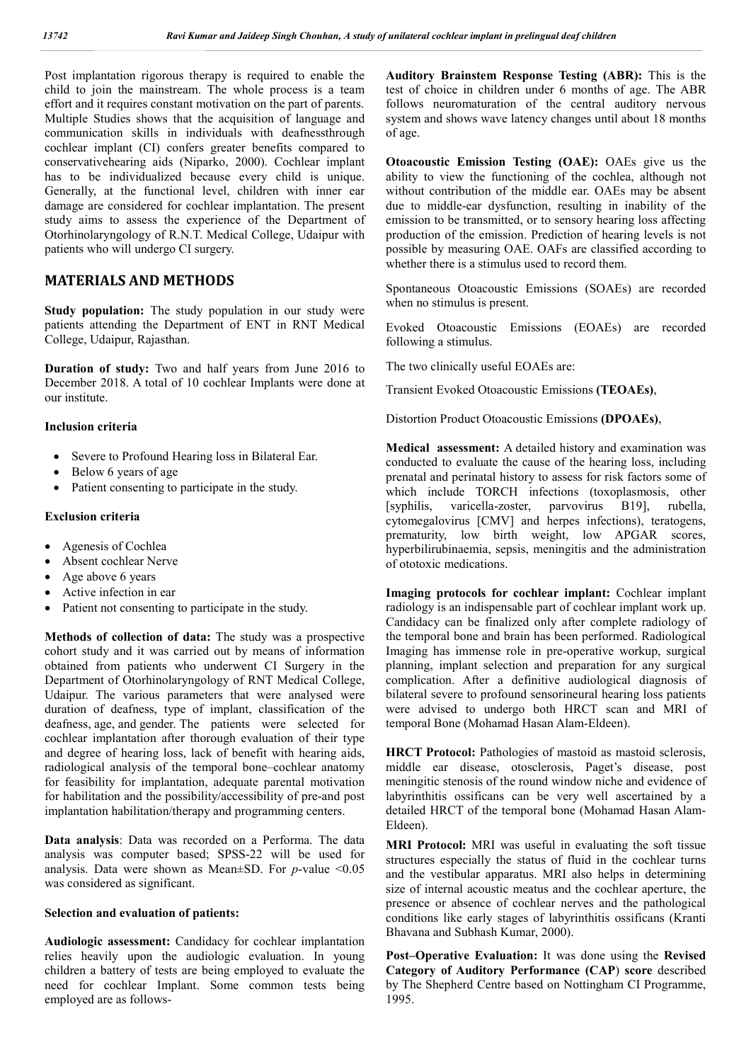Post implantation rigorous therapy is required to enable the child to join the mainstream. The whole process is a team effort and it requires constant motivation on the part of parents. Multiple Studies shows that the acquisition of language and communication skills in individuals with deafnessthrough cochlear implant (CI) confers greater benefits compared to conservativehearing aids (Niparko, 2000). Cochlear implant has to be individualized because every child is unique. Generally, at the functional level, children with inner ear damage are considered for cochlear implantation. The present study aims to assess the experience of the Department of Otorhinolaryngology of R.N.T. Medical College, Udaipur with patients who will undergo CI surgery.

# **MATERIALS AND METHODS**

**Study population:** The study population in our study were patients attending the Department of ENT in RNT Medical College, Udaipur, Rajasthan.

**Duration of study:** Two and half years from June 2016 to December 2018. A total of 10 cochlear Implants were done at our institute.

#### **Inclusion criteria**

- Severe to Profound Hearing loss in Bilateral Ear.
- Below 6 years of age
- Patient consenting to participate in the study.

#### **Exclusion criteria**

- Agenesis of Cochlea
- Absent cochlear Nerve
- Age above 6 years
- Active infection in ear
- Patient not consenting to participate in the study.

**Methods of collection of data:** The study was a prospective cohort study and it was carried out by means of information obtained from patients who underwent CI Surgery in the Department of Otorhinolaryngology of RNT Medical College, Udaipur. The various parameters that were analysed were duration of deafness, type of implant, classification of the deafness, age, and gender. The patients were selected for cochlear implantation after thorough evaluation of their type and degree of hearing loss, lack of benefit with hearing aids, radiological analysis of the temporal bone–cochlear anatomy for feasibility for implantation, adequate parental motivation for habilitation and the possibility/accessibility of pre-and post implantation habilitation/therapy and programming centers.

**Data analysis**: Data was recorded on a Performa. The data analysis was computer based; SPSS-22 will be used for analysis. Data were shown as Mean±SD. For *p*-value <0.05 was considered as significant.

#### **Selection and evaluation of patients:**

**Audiologic assessment:** Candidacy for cochlear implantation relies heavily upon the audiologic evaluation. In young children a battery of tests are being employed to evaluate the need for cochlear Implant. Some common tests being employed are as follows**Auditory Brainstem Response Testing (ABR):** This is the test of choice in children under 6 months of age. The ABR follows neuromaturation of the central auditory nervous system and shows wave latency changes until about 18 months of age.

**Otoacoustic Emission Testing (OAE):** OAEs give us the ability to view the functioning of the cochlea, although not without contribution of the middle ear. OAEs may be absent due to middle-ear dysfunction, resulting in inability of the emission to be transmitted, or to sensory hearing loss affecting production of the emission. Prediction of hearing levels is not possible by measuring OAE. OAFs are classified according to whether there is a stimulus used to record them.

Spontaneous Otoacoustic Emissions (SOAEs) are recorded when no stimulus is present.

Evoked Otoacoustic Emissions (EOAEs) are recorded following a stimulus.

The two clinically useful EOAEs are:

Transient Evoked Otoacoustic Emissions **(TEOAEs)**,

Distortion Product Otoacoustic Emissions **(DPOAEs)**,

**Medical assessment:** A detailed history and examination was conducted to evaluate the cause of the hearing loss, including prenatal and perinatal history to assess for risk factors some of which include TORCH infections (toxoplasmosis, other [syphilis, varicella-zoster, parvovirus B19], rubella, cytomegalovirus [CMV] and herpes infections), teratogens, prematurity, low birth weight, low APGAR scores, hyperbilirubinaemia, sepsis, meningitis and the administration of ototoxic medications.

**Imaging protocols for cochlear implant:** Cochlear implant radiology is an indispensable part of cochlear implant work up. Candidacy can be finalized only after complete radiology of the temporal bone and brain has been performed. Radiological Imaging has immense role in pre-operative workup, surgical planning, implant selection and preparation for any surgical complication. After a definitive audiological diagnosis of bilateral severe to profound sensorineural hearing loss patients were advised to undergo both HRCT scan and MRI of temporal Bone (Mohamad Hasan Alam-Eldeen).

**HRCT Protocol:** Pathologies of mastoid as mastoid sclerosis, middle ear disease, otosclerosis, Paget's disease, post meningitic stenosis of the round window niche and evidence of labyrinthitis ossificans can be very well ascertained by a detailed HRCT of the temporal bone (Mohamad Hasan Alam-Eldeen).

**MRI Protocol:** MRI was useful in evaluating the soft tissue structures especially the status of fluid in the cochlear turns and the vestibular apparatus. MRI also helps in determining size of internal acoustic meatus and the cochlear aperture, the presence or absence of cochlear nerves and the pathological conditions like early stages of labyrinthitis ossificans (Kranti Bhavana and Subhash Kumar, 2000).

**Post–Operative Evaluation:** It was done using the **Revised Category of Auditory Performance (CAP**) **score** described by The Shepherd Centre based on Nottingham CI Programme, 1995.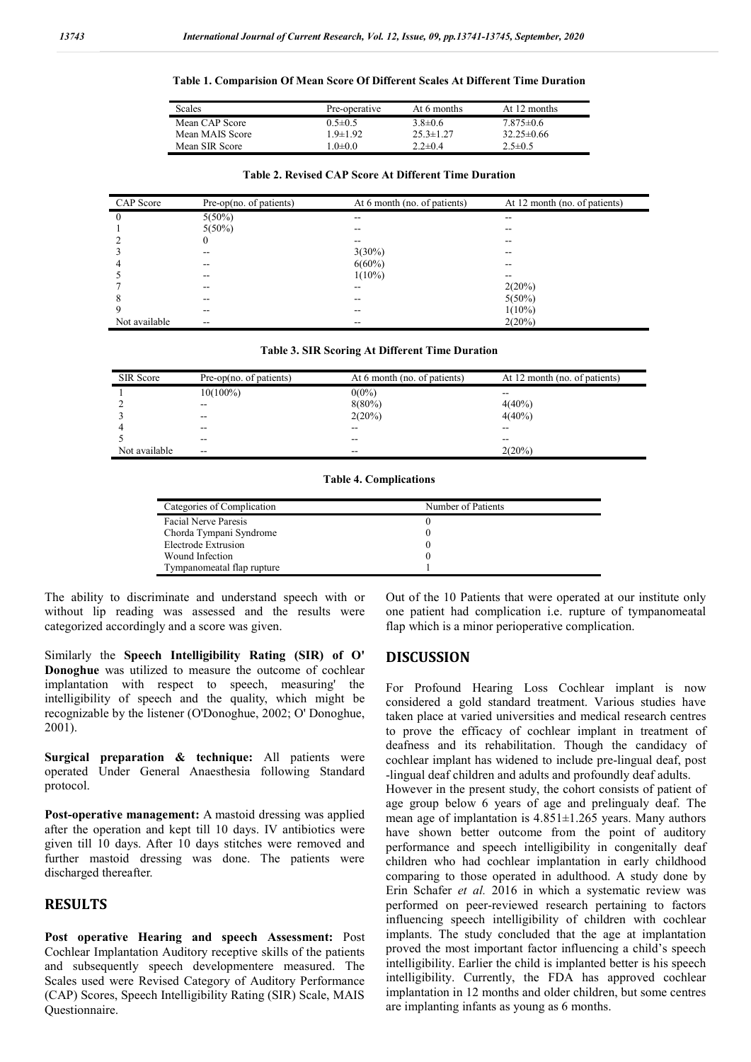#### **Table 1. Comparision Of Mean Score Of Different Scales At Different Time Duration**

| <b>Scales</b>   | Pre-operative | At 6 months     | At 12 months     |
|-----------------|---------------|-----------------|------------------|
| Mean CAP Score  | $0.5 \pm 0.5$ | $3.8 \pm 0.6$   | $7.875\pm0.6$    |
| Mean MAIS Score | $-9+1.92$     | $25.3 \pm 1.27$ | $32.25 \pm 0.66$ |
| Mean SIR Score  | .0 $\pm$ 0.0  | $2.2 + 0.4$     | $2.5 \pm 0.5$    |

| CAP Score      | Pre-op $(no. of patients)$ | At 6 month (no. of patients) | At 12 month (no. of patients) |
|----------------|----------------------------|------------------------------|-------------------------------|
| $\overline{0}$ | $5(50\%)$                  |                              |                               |
|                | $5(50\%)$                  | --                           | --                            |
| $\overline{2}$ | $\theta$                   | --                           |                               |
| 3              |                            | $3(30\%)$                    |                               |
| $\overline{4}$ | --                         | $6(60\%)$                    | --                            |
| 5              | --                         | $1(10\%)$                    | --                            |
|                |                            |                              | 2(20%)                        |
| 8              |                            | --                           | $5(50\%)$                     |
| 9              | --                         | --                           | $1(10\%)$                     |
| Not available  | --                         | $- -$                        | 2(20%)                        |

|  | Table 3. SIR Scoring At Different Time Duration |
|--|-------------------------------------------------|
|  |                                                 |

| SIR Score     | $Pre-op(no. of patients)$ | At 6 month (no. of patients) | At 12 month (no. of patients) |
|---------------|---------------------------|------------------------------|-------------------------------|
|               | $10(100\%)$               | $0(0\%)$                     | --                            |
|               | $- -$                     | $8(80\%)$                    | $4(40\%)$                     |
|               | $\overline{\phantom{m}}$  | 2(20%)                       | $4(40\%)$                     |
|               | --                        | --                           | --                            |
|               | $\overline{\phantom{a}}$  | --                           | --                            |
| Not available | $\overline{\phantom{a}}$  | --                           | 2(20%)                        |

**Table 4. Complications**

| Categories of Complication | Number of Patients |
|----------------------------|--------------------|
| Facial Nerve Paresis       |                    |
| Chorda Tympani Syndrome    |                    |
| Electrode Extrusion        |                    |
| Wound Infection            |                    |
| Tympanomeatal flap rupture |                    |

The ability to discriminate and understand speech with or without lip reading was assessed and the results were categorized accordingly and a score was given.

Similarly the **Speech Intelligibility Rating (SIR) of O' Donoghue** was utilized to measure the outcome of cochlear implantation with respect to speech, measuring' the intelligibility of speech and the quality, which might be recognizable by the listener (O'Donoghue, 2002; O' Donoghue, 2001).

**Surgical preparation & technique:** All patients were operated Under General Anaesthesia following Standard protocol.

**Post-operative management:** A mastoid dressing was applied after the operation and kept till 10 days. IV antibiotics were given till 10 days. After 10 days stitches were removed and further mastoid dressing was done. The patients were discharged thereafter.

# **RESULTS**

**Post operative Hearing and speech Assessment:** Post Cochlear Implantation Auditory receptive skills of the patients and subsequently speech developmentere measured. The Scales used were Revised Category of Auditory Performance (CAP) Scores, Speech Intelligibility Rating (SIR) Scale, MAIS Questionnaire.

Out of the 10 Patients that were operated at our institute only one patient had complication i.e. rupture of tympanomeatal flap which is a minor perioperative complication.

### **DISCUSSION**

For Profound Hearing Loss Cochlear implant is now considered a gold standard treatment. Various studies have taken place at varied universities and medical research centres to prove the efficacy of cochlear implant in treatment of deafness and its rehabilitation. Though the candidacy of cochlear implant has widened to include pre-lingual deaf, post -lingual deaf children and adults and profoundly deaf adults.

However in the present study, the cohort consists of patient of age group below 6 years of age and prelingualy deaf. The mean age of implantation is 4.851±1.265 years. Many authors have shown better outcome from the point of auditory performance and speech intelligibility in congenitally deaf children who had cochlear implantation in early childhood comparing to those operated in adulthood. A study done by Erin Schafer *et al.* 2016 in which a systematic review was performed on peer-reviewed research pertaining to factors influencing speech intelligibility of children with cochlear implants. The study concluded that the age at implantation proved the most important factor influencing a child's speech intelligibility. Earlier the child is implanted better is his speech intelligibility. Currently, the FDA has approved cochlear implantation in 12 months and older children, but some centres are implanting infants as young as 6 months.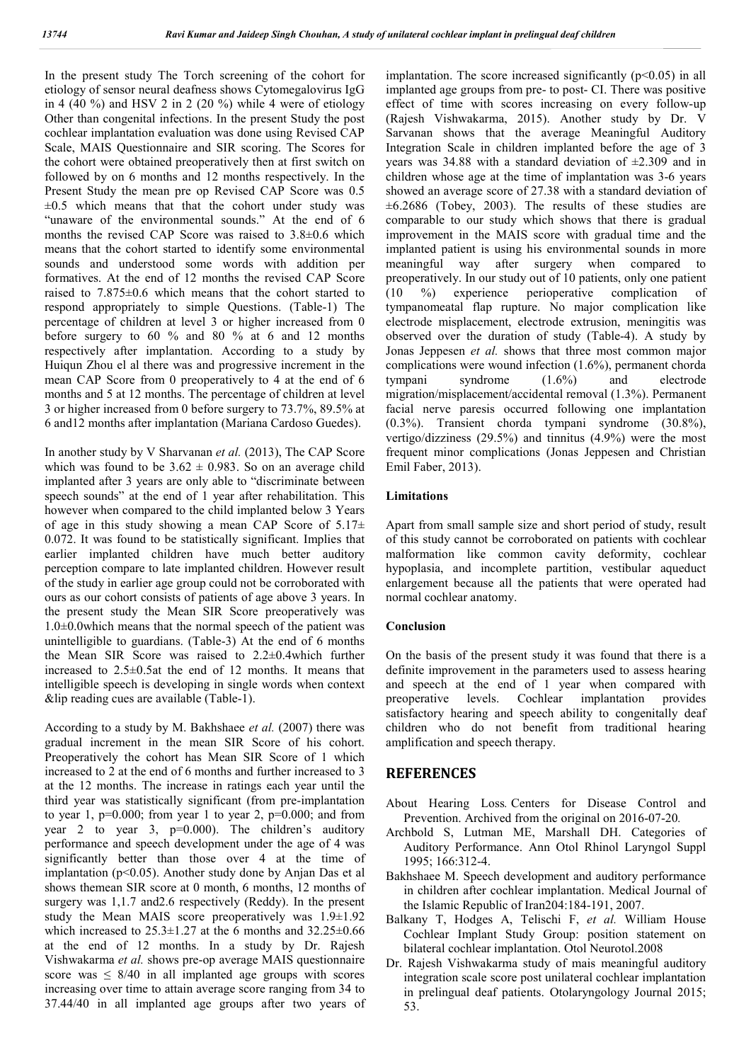In the present study The Torch screening of the cohort for etiology of sensor neural deafness shows Cytomegalovirus IgG in 4 (40 %) and HSV 2 in 2 (20 %) while 4 were of etiology Other than congenital infections. In the present Study the post cochlear implantation evaluation was done using Revised CAP Scale, MAIS Questionnaire and SIR scoring. The Scores for the cohort were obtained preoperatively then at first switch on followed by on 6 months and 12 months respectively. In the Present Study the mean pre op Revised CAP Score was 0.5  $\pm 0.5$  which means that that the cohort under study was "unaware of the environmental sounds." At the end of 6 months the revised CAP Score was raised to 3.8±0.6 which means that the cohort started to identify some environmental sounds and understood some words with addition per formatives. At the end of 12 months the revised CAP Score raised to 7.875±0.6 which means that the cohort started to respond appropriately to simple Questions. (Table-1) The percentage of children at level 3 or higher increased from 0 before surgery to 60 % and 80 % at 6 and 12 months respectively after implantation. According to a study by Huiqun Zhou el al there was and progressive increment in the mean CAP Score from 0 preoperatively to 4 at the end of 6 months and 5 at 12 months. The percentage of children at level 3 or higher increased from 0 before surgery to 73.7%, 89.5% at 6 and12 months after implantation (Mariana Cardoso Guedes).

In another study by V Sharvanan *et al.* (2013), The CAP Score which was found to be  $3.62 \pm 0.983$ . So on an average child implanted after 3 years are only able to "discriminate between speech sounds" at the end of 1 year after rehabilitation. This however when compared to the child implanted below 3 Years of age in this study showing a mean CAP Score of  $5.17\pm$ 0.072. It was found to be statistically significant. Implies that earlier implanted children have much better auditory perception compare to late implanted children. However result of the study in earlier age group could not be corroborated with ours as our cohort consists of patients of age above 3 years. In the present study the Mean SIR Score preoperatively was 1.0±0.0which means that the normal speech of the patient was unintelligible to guardians. (Table-3) At the end of 6 months the Mean SIR Score was raised to 2.2±0.4which further increased to 2.5±0.5at the end of 12 months. It means that intelligible speech is developing in single words when context &lip reading cues are available (Table-1).

According to a study by M. Bakhshaee *et al.* (2007) there was gradual increment in the mean SIR Score of his cohort. Preoperatively the cohort has Mean SIR Score of 1 which increased to 2 at the end of 6 months and further increased to 3 at the 12 months. The increase in ratings each year until the third year was statistically significant (from pre-implantation to year 1,  $p=0.000$ ; from year 1 to year 2,  $p=0.000$ ; and from year 2 to year 3, p=0.000). The children's auditory performance and speech development under the age of 4 was significantly better than those over 4 at the time of implantation ( $p<0.05$ ). Another study done by Anjan Das et al shows themean SIR score at 0 month, 6 months, 12 months of surgery was 1,1.7 and2.6 respectively (Reddy). In the present study the Mean MAIS score preoperatively was 1.9±1.92 which increased to  $25.3 \pm 1.27$  at the 6 months and  $32.25 \pm 0.66$ at the end of 12 months. In a study by Dr. Rajesh Vishwakarma *et al.* shows pre-op average MAIS questionnaire score was  $\leq 8/40$  in all implanted age groups with scores increasing over time to attain average score ranging from 34 to 37.44/40 in all implanted age groups after two years of implantation. The score increased significantly  $(p<0.05)$  in all implanted age groups from pre- to post- CI. There was positive effect of time with scores increasing on every follow-up (Rajesh Vishwakarma, 2015). Another study by Dr. V Sarvanan shows that the average Meaningful Auditory Integration Scale in children implanted before the age of 3 years was 34.88 with a standard deviation of  $\pm 2.309$  and in children whose age at the time of implantation was 3-6 years showed an average score of 27.38 with a standard deviation of ±6.2686 (Tobey, 2003). The results of these studies are comparable to our study which shows that there is gradual improvement in the MAIS score with gradual time and the implanted patient is using his environmental sounds in more meaningful way after surgery when compared to preoperatively. In our study out of 10 patients, only one patient (10 %) experience perioperative complication of tympanomeatal flap rupture. No major complication like electrode misplacement, electrode extrusion, meningitis was observed over the duration of study (Table-4). A study by Jonas Jeppesen *et al.* shows that three most common major complications were wound infection (1.6%), permanent chorda tympani syndrome (1.6%) and electrode migration/misplacement/accidental removal (1.3%). Permanent facial nerve paresis occurred following one implantation (0.3%). Transient chorda tympani syndrome (30.8%), vertigo/dizziness (29.5%) and tinnitus (4.9%) were the most frequent minor complications (Jonas Jeppesen and Christian Emil Faber, 2013).

## **Limitations**

Apart from small sample size and short period of study, result of this study cannot be corroborated on patients with cochlear malformation like common cavity deformity, cochlear hypoplasia, and incomplete partition, vestibular aqueduct enlargement because all the patients that were operated had normal cochlear anatomy.

## **Conclusion**

On the basis of the present study it was found that there is a definite improvement in the parameters used to assess hearing and speech at the end of 1 year when compared with preoperative levels. Cochlear implantation provides satisfactory hearing and speech ability to congenitally deaf children who do not benefit from traditional hearing amplification and speech therapy.

## **REFERENCES**

- About Hearing Loss*.* Centers for Disease Control and Prevention. Archived from the original on 2016-07-20*.*
- Archbold S, Lutman ME, Marshall DH. Categories of Auditory Performance. Ann Otol Rhinol Laryngol Suppl 1995; 166:312-4.
- Bakhshaee M. Speech development and auditory performance in children after cochlear implantation. Medical Journal of the Islamic Republic of Iran204:184-191, 2007.
- Balkany T, Hodges A, Telischi F, *et al.* William House Cochlear Implant Study Group: position statement on bilateral cochlear implantation. Otol Neurotol.2008
- Dr. Rajesh Vishwakarma study of mais meaningful auditory integration scale score post unilateral cochlear implantation in prelingual deaf patients. Otolaryngology Journal 2015; 53.